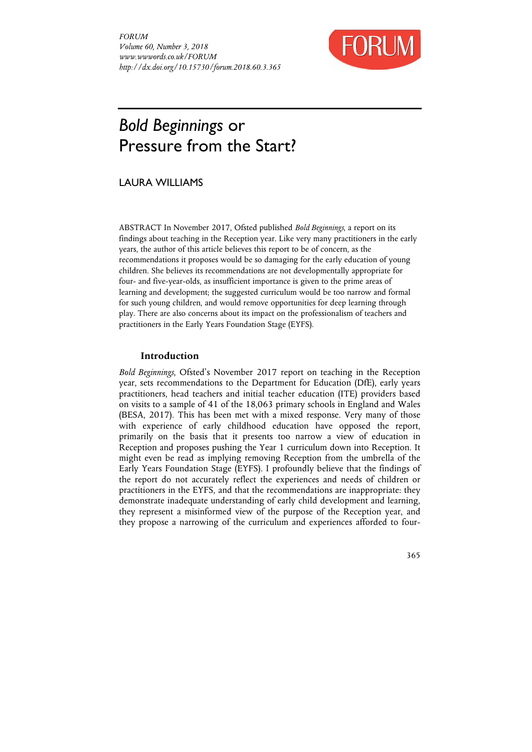*FORUM Volume 60, Number 3, 2018 www.wwwords.co.uk/FORUM http://dx.doi.org/10.15730/forum.2018.60.3.365* 



# *Bold Beginnings* or Pressure from the Start?

# LAURA WILLIAMS

ABSTRACT In November 2017, Ofsted published *Bold Beginnings*, a report on its findings about teaching in the Reception year. Like very many practitioners in the early years, the author of this article believes this report to be of concern, as the recommendations it proposes would be so damaging for the early education of young children. She believes its recommendations are not developmentally appropriate for four- and five-year-olds, as insufficient importance is given to the prime areas of learning and development; the suggested curriculum would be too narrow and formal for such young children, and would remove opportunities for deep learning through play. There are also concerns about its impact on the professionalism of teachers and practitioners in the Early Years Foundation Stage (EYFS).

# **Introduction**

*Bold Beginnings*, Ofsted's November 2017 report on teaching in the Reception year, sets recommendations to the Department for Education (DfE), early years practitioners, head teachers and initial teacher education (ITE) providers based on visits to a sample of 41 of the 18,063 primary schools in England and Wales (BESA, 2017). This has been met with a mixed response. Very many of those with experience of early childhood education have opposed the report, primarily on the basis that it presents too narrow a view of education in Reception and proposes pushing the Year 1 curriculum down into Reception. It might even be read as implying removing Reception from the umbrella of the Early Years Foundation Stage (EYFS). I profoundly believe that the findings of the report do not accurately reflect the experiences and needs of children or practitioners in the EYFS, and that the recommendations are inappropriate: they demonstrate inadequate understanding of early child development and learning, they represent a misinformed view of the purpose of the Reception year, and they propose a narrowing of the curriculum and experiences afforded to four-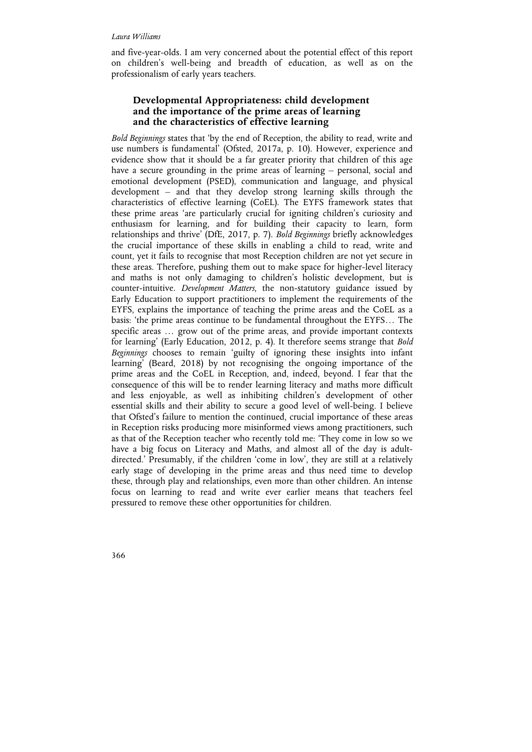and five-year-olds. I am very concerned about the potential effect of this report on children's well-being and breadth of education, as well as on the professionalism of early years teachers.

# **Developmental Appropriateness: child development and the importance of the prime areas of learning and the characteristics of effective learning**

*Bold Beginnings* states that 'by the end of Reception, the ability to read, write and use numbers is fundamental' (Ofsted, 2017a, p. 10). However, experience and evidence show that it should be a far greater priority that children of this age have a secure grounding in the prime areas of learning – personal, social and emotional development (PSED), communication and language, and physical development – and that they develop strong learning skills through the characteristics of effective learning (CoEL). The EYFS framework states that these prime areas 'are particularly crucial for igniting children's curiosity and enthusiasm for learning, and for building their capacity to learn, form relationships and thrive' (DfE, 2017, p. 7). *Bold Beginnings* briefly acknowledges the crucial importance of these skills in enabling a child to read, write and count, yet it fails to recognise that most Reception children are not yet secure in these areas. Therefore, pushing them out to make space for higher-level literacy and maths is not only damaging to children's holistic development, but is counter-intuitive. *Development Matters*, the non-statutory guidance issued by Early Education to support practitioners to implement the requirements of the EYFS, explains the importance of teaching the prime areas and the CoEL as a basis: 'the prime areas continue to be fundamental throughout the EYFS… The specific areas … grow out of the prime areas, and provide important contexts for learning' (Early Education, 2012, p. 4). It therefore seems strange that *Bold Beginnings* chooses to remain 'guilty of ignoring these insights into infant learning' (Beard, 2018) by not recognising the ongoing importance of the prime areas and the CoEL in Reception, and, indeed, beyond. I fear that the consequence of this will be to render learning literacy and maths more difficult and less enjoyable, as well as inhibiting children's development of other essential skills and their ability to secure a good level of well-being. I believe that Ofsted's failure to mention the continued, crucial importance of these areas in Reception risks producing more misinformed views among practitioners, such as that of the Reception teacher who recently told me: 'They come in low so we have a big focus on Literacy and Maths, and almost all of the day is adultdirected.' Presumably, if the children 'come in low', they are still at a relatively early stage of developing in the prime areas and thus need time to develop these, through play and relationships, even more than other children. An intense focus on learning to read and write ever earlier means that teachers feel pressured to remove these other opportunities for children.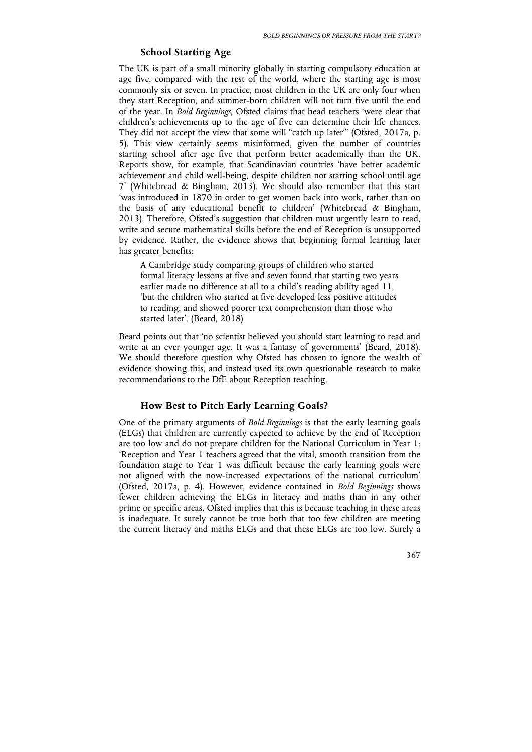# **School Starting Age**

The UK is part of a small minority globally in starting compulsory education at age five, compared with the rest of the world, where the starting age is most commonly six or seven. In practice, most children in the UK are only four when they start Reception, and summer-born children will not turn five until the end of the year. In *Bold Beginnings*, Ofsted claims that head teachers 'were clear that children's achievements up to the age of five can determine their life chances. They did not accept the view that some will "catch up later"' (Ofsted, 2017a, p. 5). This view certainly seems misinformed, given the number of countries starting school after age five that perform better academically than the UK. Reports show, for example, that Scandinavian countries 'have better academic achievement and child well-being, despite children not starting school until age 7' (Whitebread & Bingham, 2013). We should also remember that this start 'was introduced in 1870 in order to get women back into work, rather than on the basis of any educational benefit to children' (Whitebread & Bingham, 2013). Therefore, Ofsted's suggestion that children must urgently learn to read, write and secure mathematical skills before the end of Reception is unsupported by evidence. Rather, the evidence shows that beginning formal learning later has greater benefits:

A Cambridge study comparing groups of children who started formal literacy lessons at five and seven found that starting two years earlier made no difference at all to a child's reading ability aged 11, 'but the children who started at five developed less positive attitudes to reading, and showed poorer text comprehension than those who started later'. (Beard, 2018)

Beard points out that 'no scientist believed you should start learning to read and write at an ever younger age. It was a fantasy of governments' (Beard, 2018). We should therefore question why Ofsted has chosen to ignore the wealth of evidence showing this, and instead used its own questionable research to make recommendations to the DfE about Reception teaching.

## **How Best to Pitch Early Learning Goals?**

One of the primary arguments of *Bold Beginnings* is that the early learning goals (ELGs) that children are currently expected to achieve by the end of Reception are too low and do not prepare children for the National Curriculum in Year 1: 'Reception and Year 1 teachers agreed that the vital, smooth transition from the foundation stage to Year 1 was difficult because the early learning goals were not aligned with the now-increased expectations of the national curriculum' (Ofsted, 2017a, p. 4). However, evidence contained in *Bold Beginnings* shows fewer children achieving the ELGs in literacy and maths than in any other prime or specific areas. Ofsted implies that this is because teaching in these areas is inadequate. It surely cannot be true both that too few children are meeting the current literacy and maths ELGs and that these ELGs are too low. Surely a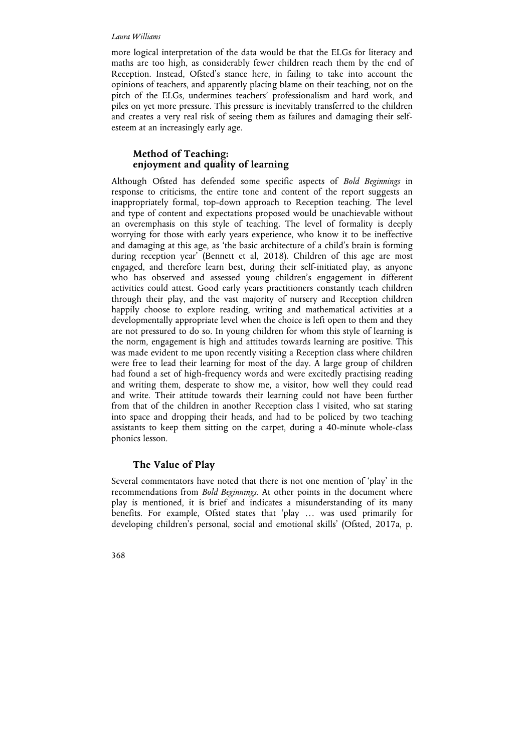#### *Laura Williams*

more logical interpretation of the data would be that the ELGs for literacy and maths are too high, as considerably fewer children reach them by the end of Reception. Instead, Ofsted's stance here, in failing to take into account the opinions of teachers, and apparently placing blame on their teaching, not on the pitch of the ELGs, undermines teachers' professionalism and hard work, and piles on yet more pressure. This pressure is inevitably transferred to the children and creates a very real risk of seeing them as failures and damaging their selfesteem at an increasingly early age.

# **Method of Teaching: enjoyment and quality of learning**

Although Ofsted has defended some specific aspects of *Bold Beginnings* in response to criticisms, the entire tone and content of the report suggests an inappropriately formal, top-down approach to Reception teaching. The level and type of content and expectations proposed would be unachievable without an overemphasis on this style of teaching. The level of formality is deeply worrying for those with early years experience, who know it to be ineffective and damaging at this age, as 'the basic architecture of a child's brain is forming during reception year' (Bennett et al, 2018). Children of this age are most engaged, and therefore learn best, during their self-initiated play, as anyone who has observed and assessed young children's engagement in different activities could attest. Good early years practitioners constantly teach children through their play, and the vast majority of nursery and Reception children happily choose to explore reading, writing and mathematical activities at a developmentally appropriate level when the choice is left open to them and they are not pressured to do so. In young children for whom this style of learning is the norm, engagement is high and attitudes towards learning are positive. This was made evident to me upon recently visiting a Reception class where children were free to lead their learning for most of the day. A large group of children had found a set of high-frequency words and were excitedly practising reading and writing them, desperate to show me, a visitor, how well they could read and write. Their attitude towards their learning could not have been further from that of the children in another Reception class I visited, who sat staring into space and dropping their heads, and had to be policed by two teaching assistants to keep them sitting on the carpet, during a 40-minute whole-class phonics lesson.

# **The Value of Play**

Several commentators have noted that there is not one mention of 'play' in the recommendations from *Bold Beginnings*. At other points in the document where play is mentioned, it is brief and indicates a misunderstanding of its many benefits. For example, Ofsted states that 'play … was used primarily for developing children's personal, social and emotional skills' (Ofsted, 2017a, p.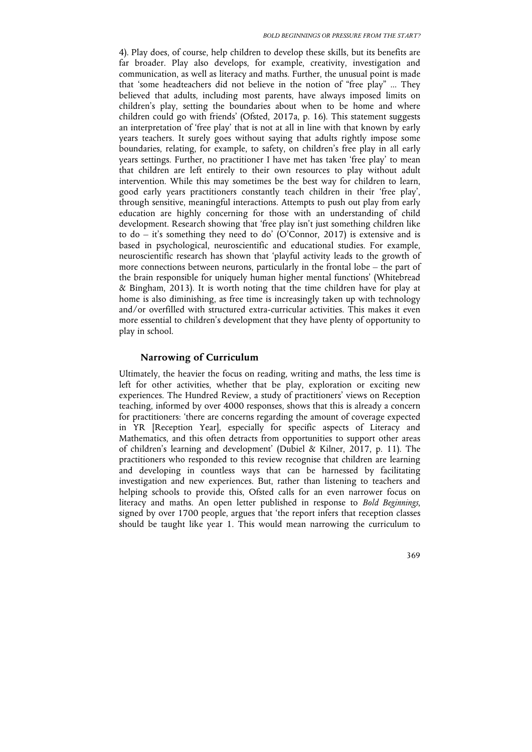4). Play does, of course, help children to develop these skills, but its benefits are far broader. Play also develops, for example, creativity, investigation and communication, as well as literacy and maths. Further, the unusual point is made that 'some headteachers did not believe in the notion of "free play" ... They believed that adults, including most parents, have always imposed limits on children's play, setting the boundaries about when to be home and where children could go with friends' (Ofsted, 2017a, p. 16). This statement suggests an interpretation of 'free play' that is not at all in line with that known by early years teachers. It surely goes without saying that adults rightly impose some boundaries, relating, for example, to safety, on children's free play in all early years settings. Further, no practitioner I have met has taken 'free play' to mean that children are left entirely to their own resources to play without adult intervention. While this may sometimes be the best way for children to learn, good early years practitioners constantly teach children in their 'free play', through sensitive, meaningful interactions. Attempts to push out play from early education are highly concerning for those with an understanding of child development. Research showing that 'free play isn't just something children like to do – it's something they need to do' (O'Connor, 2017) is extensive and is based in psychological, neuroscientific and educational studies. For example, neuroscientific research has shown that 'playful activity leads to the growth of more connections between neurons, particularly in the frontal lobe – the part of the brain responsible for uniquely human higher mental functions' (Whitebread & Bingham, 2013). It is worth noting that the time children have for play at home is also diminishing, as free time is increasingly taken up with technology and/or overfilled with structured extra-curricular activities. This makes it even more essential to children's development that they have plenty of opportunity to play in school.

## **Narrowing of Curriculum**

Ultimately, the heavier the focus on reading, writing and maths, the less time is left for other activities, whether that be play, exploration or exciting new experiences. The Hundred Review, a study of practitioners' views on Reception teaching, informed by over 4000 responses, shows that this is already a concern for practitioners: 'there are concerns regarding the amount of coverage expected in YR [Reception Year], especially for specific aspects of Literacy and Mathematics, and this often detracts from opportunities to support other areas of children's learning and development' (Dubiel & Kilner, 2017, p. 11). The practitioners who responded to this review recognise that children are learning and developing in countless ways that can be harnessed by facilitating investigation and new experiences. But, rather than listening to teachers and helping schools to provide this, Ofsted calls for an even narrower focus on literacy and maths. An open letter published in response to *Bold Beginnings*, signed by over 1700 people, argues that 'the report infers that reception classes should be taught like year 1. This would mean narrowing the curriculum to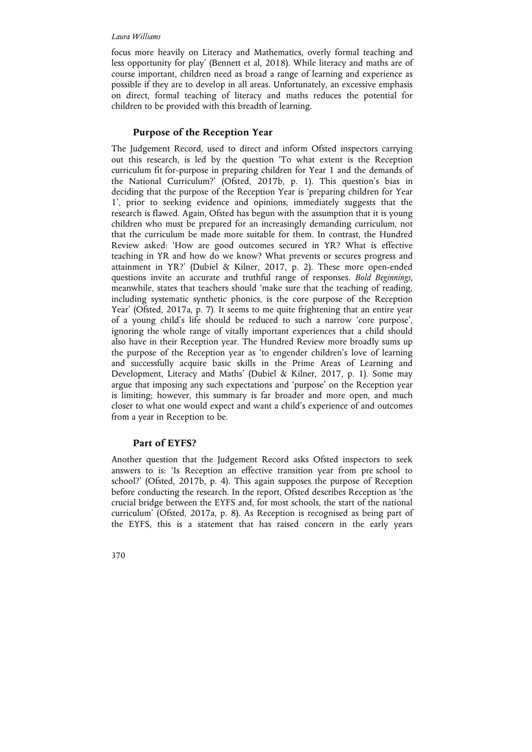#### *Laura Williams*

focus more heavily on Literacy and Mathematics, overly formal teaching and less opportunity for play' (Bennett et al, 2018). While literacy and maths are of course important, children need as broad a range of learning and experience as possible if they are to develop in all areas. Unfortunately, an excessive emphasis on direct, formal teaching of literacy and maths reduces the potential for children to be provided with this breadth of learning.

# **Purpose of the Reception Year**

The Judgement Record, used to direct and inform Ofsted inspectors carrying out this research, is led by the question 'To what extent is the Reception curriculum fit for-purpose in preparing children for Year 1 and the demands of the National Curriculum?' (Ofsted, 2017b, p. 1). This question's bias in deciding that the purpose of the Reception Year is 'preparing children for Year 1', prior to seeking evidence and opinions, immediately suggests that the research is flawed. Again, Ofsted has begun with the assumption that it is young children who must be prepared for an increasingly demanding curriculum, not that the curriculum be made more suitable for them. In contrast, the Hundred Review asked: 'How are good outcomes secured in YR? What is effective teaching in YR and how do we know? What prevents or secures progress and attainment in YR?' (Dubiel & Kilner, 2017, p. 2). These more open-ended questions invite an accurate and truthful range of responses. *Bold Beginnings*, meanwhile, states that teachers should 'make sure that the teaching of reading, including systematic synthetic phonics, is the core purpose of the Reception Year' (Ofsted, 2017a, p. 7)*.* It seems to me quite frightening that an entire year of a young child's life should be reduced to such a narrow 'core purpose', ignoring the whole range of vitally important experiences that a child should also have in their Reception year. The Hundred Review more broadly sums up the purpose of the Reception year as 'to engender children's love of learning and successfully acquire basic skills in the Prime Areas of Learning and Development, Literacy and Maths' (Dubiel & Kilner, 2017, p. 1). Some may argue that imposing any such expectations and 'purpose' on the Reception year is limiting; however, this summary is far broader and more open, and much closer to what one would expect and want a child's experience of and outcomes from a year in Reception to be.

### **Part of EYFS?**

Another question that the Judgement Record asks Ofsted inspectors to seek answers to is: 'Is Reception an effective transition year from pre school to school?' (Ofsted, 2017b, p. 4). This again supposes the purpose of Reception before conducting the research. In the report, Ofsted describes Reception as 'the crucial bridge between the EYFS and, for most schools, the start of the national curriculum' (Ofsted, 2017a, p. 8). As Reception is recognised as being part of the EYFS, this is a statement that has raised concern in the early years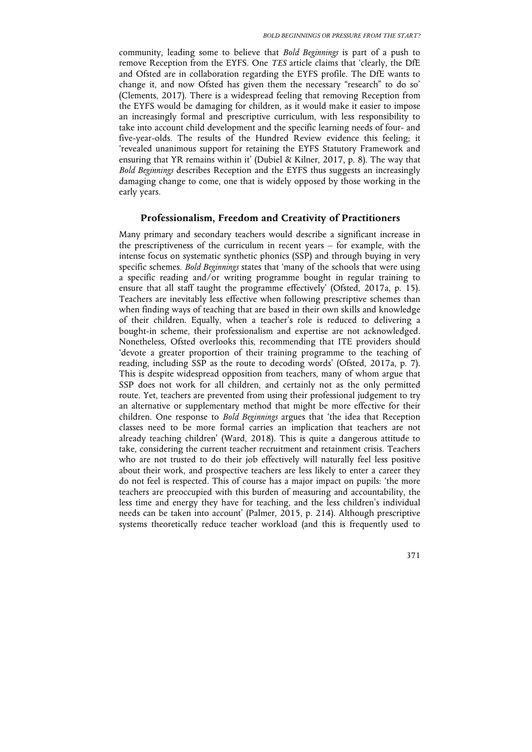community, leading some to believe that *Bold Beginnings* is part of a push to remove Reception from the EYFS. One *TES* article claims that 'clearly, the DfE and Ofsted are in collaboration regarding the EYFS profile. The DfE wants to change it, and now Ofsted has given them the necessary "research" to do so' (Clements, 2017). There is a widespread feeling that removing Reception from the EYFS would be damaging for children, as it would make it easier to impose an increasingly formal and prescriptive curriculum, with less responsibility to take into account child development and the specific learning needs of four- and five-year-olds. The results of the Hundred Review evidence this feeling; it 'revealed unanimous support for retaining the EYFS Statutory Framework and ensuring that YR remains within it' (Dubiel & Kilner, 2017, p. 8). The way that *Bold Beginnings* describes Reception and the EYFS thus suggests an increasingly damaging change to come, one that is widely opposed by those working in the early years.

## **Professionalism, Freedom and Creativity of Practitioners**

Many primary and secondary teachers would describe a significant increase in the prescriptiveness of the curriculum in recent years – for example, with the intense focus on systematic synthetic phonics (SSP) and through buying in very specific schemes. *Bold Beginnings* states that 'many of the schools that were using a specific reading and/or writing programme bought in regular training to ensure that all staff taught the programme effectively' (Ofsted, 2017a, p. 15). Teachers are inevitably less effective when following prescriptive schemes than when finding ways of teaching that are based in their own skills and knowledge of their children. Equally, when a teacher's role is reduced to delivering a bought-in scheme, their professionalism and expertise are not acknowledged. Nonetheless, Ofsted overlooks this, recommending that ITE providers should 'devote a greater proportion of their training programme to the teaching of reading, including SSP as the route to decoding words' (Ofsted, 2017a, p. 7). This is despite widespread opposition from teachers, many of whom argue that SSP does not work for all children, and certainly not as the only permitted route. Yet, teachers are prevented from using their professional judgement to try an alternative or supplementary method that might be more effective for their children. One response to *Bold Beginnings* argues that 'the idea that Reception classes need to be more formal carries an implication that teachers are not already teaching children' (Ward, 2018). This is quite a dangerous attitude to take, considering the current teacher recruitment and retainment crisis. Teachers who are not trusted to do their job effectively will naturally feel less positive about their work, and prospective teachers are less likely to enter a career they do not feel is respected. This of course has a major impact on pupils: 'the more teachers are preoccupied with this burden of measuring and accountability, the less time and energy they have for teaching, and the less children's individual needs can be taken into account' (Palmer, 2015, p. 214). Although prescriptive systems theoretically reduce teacher workload (and this is frequently used to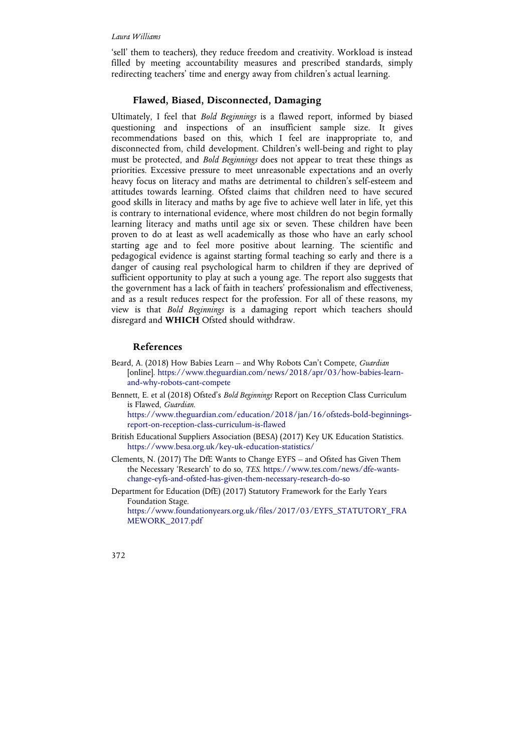'sell' them to teachers), they reduce freedom and creativity. Workload is instead filled by meeting accountability measures and prescribed standards, simply redirecting teachers' time and energy away from children's actual learning.

## **Flawed, Biased, Disconnected, Damaging**

Ultimately, I feel that *Bold Beginnings* is a flawed report, informed by biased questioning and inspections of an insufficient sample size. It gives recommendations based on this, which I feel are inappropriate to, and disconnected from, child development. Children's well-being and right to play must be protected, and *Bold Beginnings* does not appear to treat these things as priorities. Excessive pressure to meet unreasonable expectations and an overly heavy focus on literacy and maths are detrimental to children's self-esteem and attitudes towards learning. Ofsted claims that children need to have secured good skills in literacy and maths by age five to achieve well later in life, yet this is contrary to international evidence, where most children do not begin formally learning literacy and maths until age six or seven. These children have been proven to do at least as well academically as those who have an early school starting age and to feel more positive about learning. The scientific and pedagogical evidence is against starting formal teaching so early and there is a danger of causing real psychological harm to children if they are deprived of sufficient opportunity to play at such a young age. The report also suggests that the government has a lack of faith in teachers' professionalism and effectiveness, and as a result reduces respect for the profession. For all of these reasons, my view is that *Bold Beginnings* is a damaging report which teachers should disregard and **WHICH** Ofsted should withdraw.

# **References**

- Beard, A. (2018) How Babies Learn and Why Robots Can't Compete, *Guardian*  [online]. https://www.theguardian.com/news/2018/apr/03/how-babies-learnand-why-robots-cant-compete
- Bennett, E. et al (2018) Ofsted's *Bold Beginnings* Report on Reception Class Curriculum is Flawed, *Guardian*.

https://www.theguardian.com/education/2018/jan/16/ofsteds-bold-beginningsreport-on-reception-class-curriculum-is-flawed

- British Educational Suppliers Association (BESA) (2017) Key UK Education Statistics. https://www.besa.org.uk/key-uk-education-statistics/
- Clements, N. (2017) The DfE Wants to Change EYFS and Ofsted has Given Them the Necessary 'Research' to do so, *TES*. https://www.tes.com/news/dfe-wantschange-eyfs-and-ofsted-has-given-them-necessary-research-do-so
- Department for Education (DfE) (2017) Statutory Framework for the Early Years Foundation Stage. https://www.foundationyears.org.uk/files/2017/03/EYFS\_STATUTORY\_FRA MEWORK\_2017.pdf